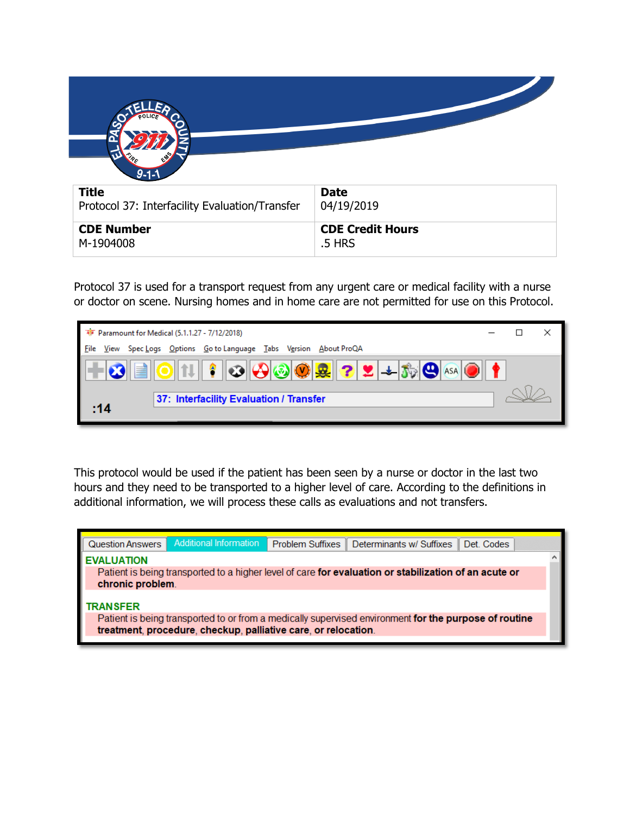| $9 - 1 - 1$                                    |                         |
|------------------------------------------------|-------------------------|
| <b>Title</b>                                   | <b>Date</b>             |
| Protocol 37: Interfacility Evaluation/Transfer | 04/19/2019              |
| <b>CDE Number</b>                              | <b>CDE Credit Hours</b> |
| M-1904008                                      | .5 HRS                  |

Protocol 37 is used for a transport request from any urgent care or medical facility with a nurse or doctor on scene. Nursing homes and in home care are not permitted for use on this Protocol.

| के Paramount for Medical (5.1.1.27 - 7/12/2018)                                                                                                              |  |  |
|--------------------------------------------------------------------------------------------------------------------------------------------------------------|--|--|
| V <u>e</u> rsion<br><b>File</b><br>Options Go to Language Tabs<br>View<br>About ProQA<br>Spec <u>L</u> ogs                                                   |  |  |
| $ \bigodot  \bigcircledast  \bigcircledast  $ ? $ \mathbf{2} $ $\pm  \mathbf{3} $ $\bigodot  \mathbf{4}$ asa $ \bigcirc$ $ $<br>$\overline{\mathbf{G}}$<br>Ħ |  |  |
| 37: Interfacility Evaluation / Transfer<br>:14                                                                                                               |  |  |

This protocol would be used if the patient has been seen by a nurse or doctor in the last two hours and they need to be transported to a higher level of care. According to the definitions in additional information, we will process these calls as evaluations and not transfers.

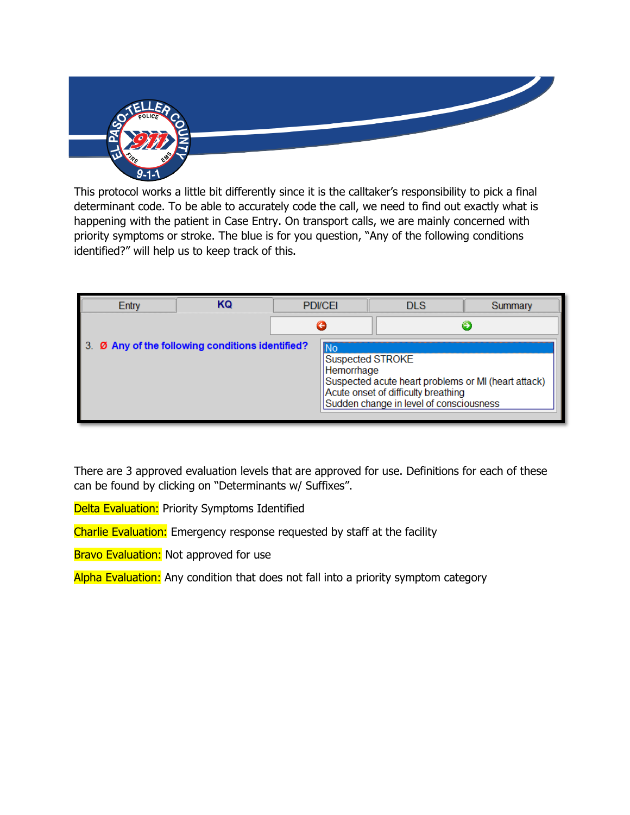

This protocol works a little bit differently since it is the calltaker's responsibility to pick a final determinant code. To be able to accurately code the call, we need to find out exactly what is happening with the patient in Case Entry. On transport calls, we are mainly concerned with priority symptoms or stroke. The blue is for you question, "Any of the following conditions identified?" will help us to keep track of this.

| Entry                                         | ΚQ | <b>PDI/CEI</b>                       |                                                                                                                                       | <b>DLS</b> | Summary |
|-----------------------------------------------|----|--------------------------------------|---------------------------------------------------------------------------------------------------------------------------------------|------------|---------|
|                                               |    |                                      |                                                                                                                                       |            |         |
| Ø Any of the following conditions identified? |    | No<br>Suspected STROKE<br>Hemorrhage | Suspected acute heart problems or MI (heart attack)<br>Acute onset of difficulty breathing<br>Sudden change in level of consciousness |            |         |

There are 3 approved evaluation levels that are approved for use. Definitions for each of these can be found by clicking on "Determinants w/ Suffixes".

Delta Evaluation: Priority Symptoms Identified

Charlie Evaluation: Emergency response requested by staff at the facility

Bravo Evaluation: Not approved for use

Alpha Evaluation: Any condition that does not fall into a priority symptom category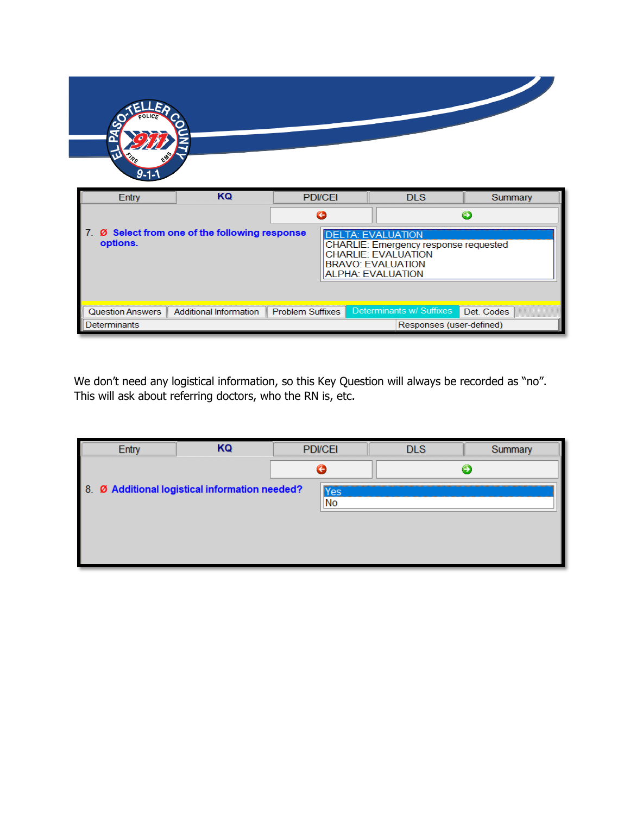| $\mathbf{u}$<br>$\mathscr{P}_{\mathcal{E}}$<br>$9 - 1 - 1$                                                                                                                                                               |                               |                         |  |                          |            |
|--------------------------------------------------------------------------------------------------------------------------------------------------------------------------------------------------------------------------|-------------------------------|-------------------------|--|--------------------------|------------|
| Entry                                                                                                                                                                                                                    | KQ                            | <b>PDI/CEI</b>          |  | <b>DLS</b>               | Summary    |
|                                                                                                                                                                                                                          |                               | G                       |  |                          | Θ          |
| Ø Select from one of the following response<br>7.<br><b>DELTA: EVALUATION</b><br>options.<br>CHARLIE: Emergency response requested<br><b>CHARLIE: EVALUATION</b><br><b>BRAVO: EVALUATION</b><br><b>ALPHA: EVALUATION</b> |                               |                         |  |                          |            |
| Question Answers                                                                                                                                                                                                         | <b>Additional Information</b> | <b>Problem Suffixes</b> |  | Determinants w/ Suffixes | Det. Codes |
| Determinants                                                                                                                                                                                                             |                               |                         |  | Responses (user-defined) |            |

We don't need any logistical information, so this Key Question will always be recorded as "no". This will ask about referring doctors, who the RN is, etc.

| KQ                                                           | <b>PDI/CEI</b> | <b>DLS</b> | Summary |
|--------------------------------------------------------------|----------------|------------|---------|
|                                                              |                |            |         |
| 8. Ø Additional logistical information needed?<br><b>Yes</b> |                |            |         |
|                                                              |                |            |         |
|                                                              |                |            |         |
|                                                              |                |            |         |
|                                                              |                |            |         |
|                                                              |                | No         |         |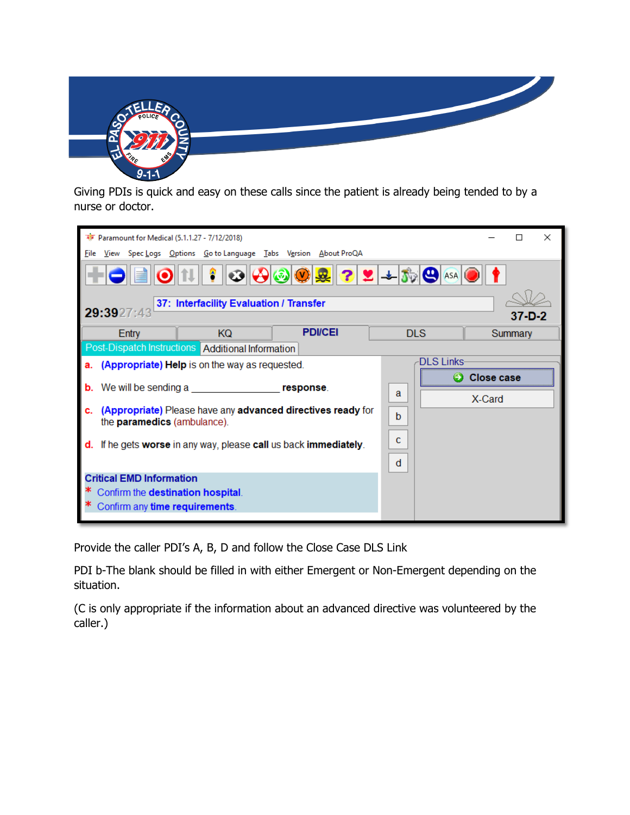

Giving PDIs is quick and easy on these calls since the patient is already being tended to by a nurse or doctor.

|                                                                                                  | <b>W</b> Paramount for Medical (5.1.1.27 - 7/12/2018)<br>П                                             |                                                     |                                                                                                                                          |   |                   | ×                 |         |
|--------------------------------------------------------------------------------------------------|--------------------------------------------------------------------------------------------------------|-----------------------------------------------------|------------------------------------------------------------------------------------------------------------------------------------------|---|-------------------|-------------------|---------|
| File                                                                                             |                                                                                                        |                                                     | View Spec Logs Options Go to Language Tabs Version About ProQA                                                                           |   |                   |                   |         |
|                                                                                                  |                                                                                                        | 11    ?                                             | $  \mathcal{O}  \mathcal{O}  \mathcal{O}  \mathcal{O}  \mathcal{R}  \mathcal{O}  \mathcal{L}  +  J_{\mathcal{V}}  \mathcal{O} \text{as}$ |   |                   |                   |         |
|                                                                                                  | 29:3927:43                                                                                             | 37: Interfacility Evaluation / Transfer             |                                                                                                                                          |   |                   |                   | 37-D-2  |
|                                                                                                  | Entry                                                                                                  | KQ.                                                 | <b>PDI/CEI</b>                                                                                                                           |   | <b>DLS</b>        |                   | Summary |
|                                                                                                  |                                                                                                        | Post-Dispatch Instructions   Additional Information |                                                                                                                                          |   |                   |                   |         |
| а.                                                                                               |                                                                                                        | (Appropriate) Help is on the way as requested.      |                                                                                                                                          |   | <b>DLS Links-</b> |                   |         |
| b.                                                                                               | We will be sending a                                                                                   |                                                     | response.                                                                                                                                |   |                   | <b>Close case</b> |         |
|                                                                                                  |                                                                                                        |                                                     |                                                                                                                                          | a |                   | X-Card            |         |
| (Appropriate) Please have any advanced directives ready for<br>c.<br>the paramedics (ambulance). |                                                                                                        |                                                     | b                                                                                                                                        |   |                   |                   |         |
|                                                                                                  |                                                                                                        |                                                     |                                                                                                                                          |   |                   |                   |         |
| If he gets worse in any way, please call us back immediately.<br>d.                              |                                                                                                        |                                                     | c                                                                                                                                        |   |                   |                   |         |
|                                                                                                  |                                                                                                        |                                                     |                                                                                                                                          | d |                   |                   |         |
|                                                                                                  | <b>Critical EMD Information</b><br>Confirm the destination hospital.<br>Confirm any time requirements. |                                                     |                                                                                                                                          |   |                   |                   |         |

Provide the caller PDI's A, B, D and follow the Close Case DLS Link

PDI b-The blank should be filled in with either Emergent or Non-Emergent depending on the situation.

(C is only appropriate if the information about an advanced directive was volunteered by the caller.)